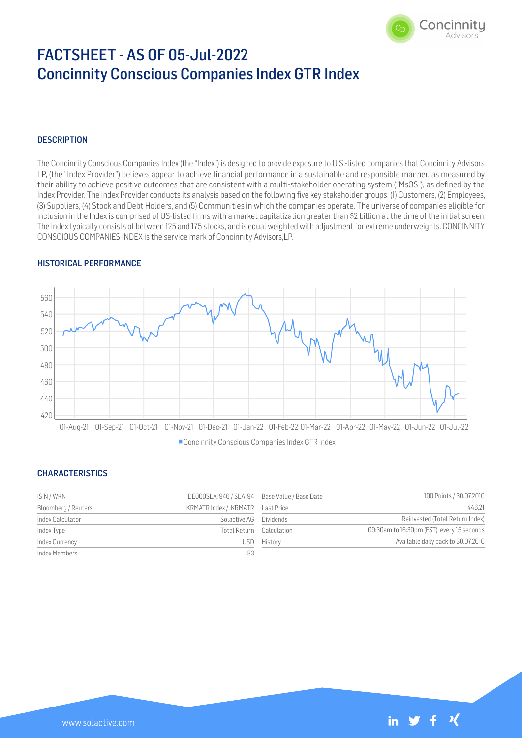

# FACTSHEET - AS OF 05-Jul-2022 Concinnity Conscious Companies Index GTR Index

# **DESCRIPTION**

The Concinnity Conscious Companies Index (the "Index") is designed to provide exposure to U.S.-listed companies that Concinnity Advisors LP, (the "Index Provider") believes appear to achieve financial performance in a sustainable and responsible manner, as measured by their ability to achieve positive outcomes that are consistent with a multi-stakeholder operating system ("MsOS"), as defined by the Index Provider. The Index Provider conducts its analysis based on the following five key stakeholder groups: (1) Customers, (2) Employees, (3) Suppliers, (4) Stock and Debt Holders, and (5) Communities in which the companies operate. The universe of companies eligible for inclusion in the Index is comprised of US-listed firms with a market capitalization greater than \$2 billion at the time of the initial screen. The Index typically consists of between 125 and 175 stocks, and is equal weighted with adjustment for extreme underweights. CONCINNITY CONSCIOUS COMPANIES INDEX is the service mark of Concinnity Advisors,LP.

## HISTORICAL PERFORMANCE



Concinnity Conscious Companies Index GTR Index

## **CHARACTERISTICS**

| ISIN / WKN          | DE000SLA1946 / SLA194 Base Value / Base Date |             | 100 Points / 30.07.2010                    |
|---------------------|----------------------------------------------|-------------|--------------------------------------------|
| Bloomberg / Reuters | KRMATR Index / .KRMATR    Last Price         |             | 446.21                                     |
| Index Calculator    | Solactive AG Dividends                       |             | Reinvested (Total Return Index)            |
| Index Type          | Total Return Calculation                     |             | 09:30am to 16:30pm (EST), every 15 seconds |
| Index Currency      |                                              | USD History | Available daily back to 30.07.2010         |
| Index Members       | 183                                          |             |                                            |

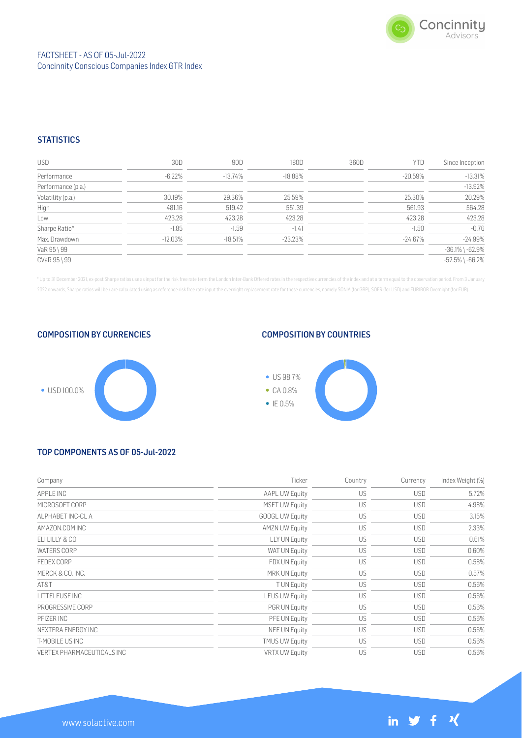

# **STATISTICS**

| <b>USD</b>         | 30D       | 90D       | 180D       | 360D | YTD        | Since Inception       |
|--------------------|-----------|-----------|------------|------|------------|-----------------------|
| Performance        | $-6.22\%$ | -13.74%   | $-18.88\%$ |      | $-20.59\%$ | $-13.31%$             |
| Performance (p.a.) |           |           |            |      |            | $-13.92%$             |
| Volatility (p.a.)  | 30.19%    | 29.36%    | 25.59%     |      | 25.30%     | 20.29%                |
| High               | 481.16    | 519.42    | 551.39     |      | 561.93     | 564.28                |
| Low                | 423.28    | 423.28    | 423.28     |      | 423.28     | 423.28                |
| Sharpe Ratio*      | $-1.85$   | $-1.59$   | $-1.41$    |      | $-1.50$    | $-0.76$               |
| Max. Drawdown      | $-12.03%$ | $-18.51%$ | $-23.23\%$ |      | $-24.67%$  | $-24.99%$             |
| VaR 95 \ 99        |           |           |            |      |            | $-36.1\%$ \ $-62.9\%$ |
| CVaR 95 \ 99       |           |           |            |      |            | $-52.5\%$ \ $-66.2\%$ |

\* Up to 31 December 2021, ex-post Sharpe ratios use as input for the risk free rate term the London Inter-Bank Offered rates in the respective currencies of the index and at a term equal to the observation period. From 3 J 2022 onwards, Sharpe ratios will be / are calculated using as reference risk free rate input the overnight replacement rate for these currencies, namely SONIA (for GBP), SOFR (for USD) and EURIBOR Overnight (for EUR).

COMPOSITION BY CURRENCIES



## COMPOSITION BY COUNTRIES



# TOP COMPONENTS AS OF 05-Jul-2022

| Company                    | Ticker                 | Country | Currency   | Index Weight (%) |
|----------------------------|------------------------|---------|------------|------------------|
| APPLE INC                  | <b>AAPL UW Equity</b>  | US      | <b>USD</b> | 5.72%            |
| MICROSOFT CORP             | <b>MSFT UW Equity</b>  | US      | <b>USD</b> | 4.98%            |
| ALPHABET INC-CL A          | <b>GOOGL UW Equity</b> | US      | <b>USD</b> | 3.15%            |
| AMAZON.COM INC             | <b>AMZN UW Equity</b>  | US      | <b>USD</b> | 2.33%            |
| ELI LILLY & CO             | LLY UN Equity          | US      | <b>USD</b> | 0.61%            |
| <b>WATERS CORP</b>         | WAT UN Equity          | US      | <b>USD</b> | 0.60%            |
| <b>FEDEX CORP</b>          | FDX UN Equity          | US      | <b>USD</b> | 0.58%            |
| MERCK & CO. INC.           | <b>MRK UN Equity</b>   | US      | <b>USD</b> | 0.57%            |
| AT&T                       | <b>TUN Equity</b>      | US      | <b>USD</b> | 0.56%            |
| LITTELFUSE INC             | <b>LFUS UW Equity</b>  | US      | <b>USD</b> | 0.56%            |
| PROGRESSIVE CORP           | <b>PGR UN Equity</b>   | US      | <b>USD</b> | 0.56%            |
| PFIZER INC                 | PFE UN Equity          | US      | <b>USD</b> | 0.56%            |
| NEXTERA ENERGY INC         | NEE UN Equity          | US      | <b>USD</b> | 0.56%            |
| T-MOBILE US INC            | <b>TMUS UW Equity</b>  | US      | <b>USD</b> | 0.56%            |
| VERTEX PHARMACEUTICALS INC | <b>VRTX UW Equity</b>  | US      | <b>USD</b> | 0.56%            |